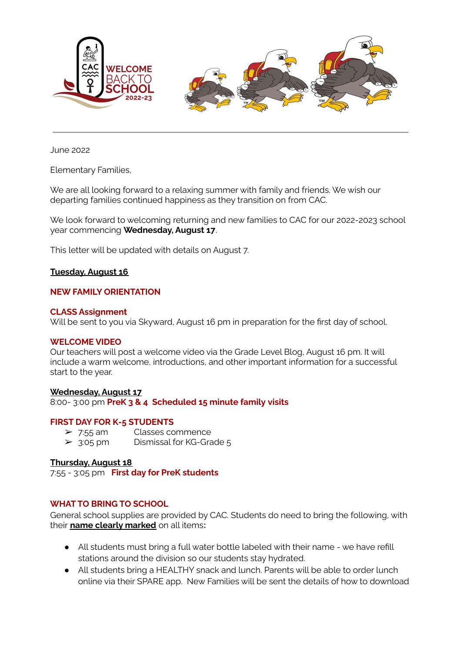

June 2022

Elementary Families,

We are all looking forward to a relaxing summer with family and friends. We wish our departing families continued happiness as they transition on from CAC.

We look forward to welcoming returning and new families to CAC for our 2022-2023 school year commencing **Wednesday, August 17**.

This letter will be updated with details on August 7.

# **Tuesday, August 16**

### **NEW FAMILY ORIENTATION**

#### **CLASS Assignment**

Will be sent to you via Skyward, August 16 pm in preparation for the first day of school.

#### **WELCOME VIDEO**

Our teachers will post a welcome video via the Grade Level Blog, August 16 pm. It will include a warm welcome, introductions, and other important information for a successful start to the year.

## **Wednesday, August 17**

8:00- 3:00 pm **PreK 3 & 4 Scheduled 15 minute family visits**

# **FIRST DAY FOR K-5 STUDENTS**

➢ 7:55 am Classes commence  $\geq$  3:05 pm Dismissal for KG-Grade 5

# **Thursday, August 18**

7:55 - 3:05 pm **First day for PreK students**

# **WHAT TO BRING TO SCHOOL**

General school supplies are provided by CAC. Students do need to bring the following, with their **name clearly marked** on all items**:**

- All students must bring a full water bottle labeled with their name we have refill stations around the division so our students stay hydrated.
- All students bring a HEALTHY snack and lunch. Parents will be able to order lunch online via their SPARE app. New Families will be sent the details of how to download